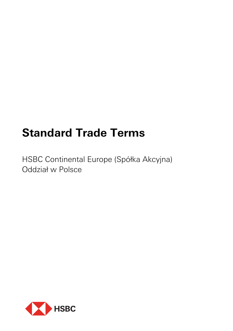# **Standard Trade Terms**

HSBC Continental Europe (Spółka Akcyjna) Oddział w Polsce

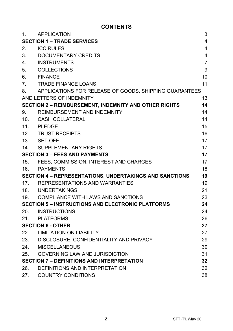## **CONTENTS**

| $\mathbf{1}$ . | <b>APPLICATION</b>                                       | 3                       |
|----------------|----------------------------------------------------------|-------------------------|
|                | <b>SECTION 1 - TRADE SERVICES</b>                        | $\overline{\mathbf{4}}$ |
| 2.             | <b>ICC RULES</b>                                         | $\overline{4}$          |
| 3.             | DOCUMENTARY CREDITS                                      | $\overline{4}$          |
| 4.             | <b>INSTRUMENTS</b>                                       | $\overline{7}$          |
| 5.             | <b>COLLECTIONS</b>                                       | 9                       |
| 6.             | <b>FINANCE</b>                                           | 10                      |
| 7.             | <b>TRADE FINANCE LOANS</b>                               | 11                      |
| 8.             | APPLICATIONS FOR RELEASE OF GOODS, SHIPPING GUARANTEES   |                         |
|                | AND LETTERS OF INDEMNITY                                 | 13                      |
|                | SECTION 2 - REIMBURSEMENT, INDEMNITY AND OTHER RIGHTS    | 14                      |
| 9.             | REIMBURSEMENT AND INDEMNITY                              | 14                      |
| 10.            | <b>CASH COLLATERAL</b>                                   | 14                      |
| 11.            | <b>PLEDGE</b>                                            | 15                      |
| 12.            | <b>TRUST RECEIPTS</b>                                    | 16                      |
| 13.            | SET-OFF                                                  | 17                      |
| 14.            | SUPPLEMENTARY RIGHTS                                     | 17                      |
|                | <b>SECTION 3 - FEES AND PAYMENTS</b>                     | 17                      |
| 15.            | FEES, COMMISSION, INTEREST AND CHARGES                   | 17                      |
| 16.            | PAYMENTS                                                 | 18                      |
|                | SECTION 4 - REPRESENTATIONS, UNDERTAKINGS AND SANCTIONS  | 19                      |
|                | 17. REPRESENTATIONS AND WARRANTIES                       | 19                      |
|                | 18. UNDERTAKINGS                                         | 21                      |
| 19.            | COMPLIANCE WITH LAWS AND SANCTIONS                       | 23                      |
|                | <b>SECTION 5 - INSTRUCTIONS AND ELECTRONIC PLATFORMS</b> | 24                      |
| 20.            | INSTRUCTIONS                                             | 24                      |
|                | 21. PLATFORMS                                            | 26                      |
|                | <b>SECTION 6 - OTHER</b>                                 | 27                      |
| 22.            | LIMITATION ON LIABILITY                                  | 27                      |
| 23.            | DISCLOSURE, CONFIDENTIALITY AND PRIVACY                  | 29                      |
| 24.            | <b>MISCELLANEOUS</b>                                     | 30                      |
| 25.            | GOVERNING LAW AND JURISDICTION                           | 31                      |
|                | <b>SECTION 7 - DEFINITIONS AND INTERPRETATION</b>        | 32                      |
| 26.            | DEFINITIONS AND INTERPRETATION                           | 32                      |
| 27.            | <b>COUNTRY CONDITIONS</b>                                | 38                      |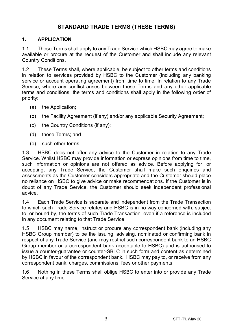## **STANDARD TRADE TERMS (THESE TERMS)**

#### **1. APPLICATION**

1.1 These Terms shall apply to any Trade Service which HSBC may agree to make available or procure at the request of the Customer and shall include any relevant Country Conditions.

1.2 These Terms shall, where applicable, be subject to other terms and conditions in relation to services provided by HSBC to the Customer (including any banking service or account operating agreement) from time to time. In relation to any Trade Service, where any conflict arises between these Terms and any other applicable terms and conditions, the terms and conditions shall apply in the following order of priority:

- (a) the Application;
- (b) the Facility Agreement (if any) and/or any applicable Security Agreement;
- (c) the Country Conditions (if any);
- (d) these Terms; and
- (e) such other terms.

1.3 HSBC does not offer any advice to the Customer in relation to any Trade Service. Whilst HSBC may provide information or express opinions from time to time, such information or opinions are not offered as advice. Before applying for, or accepting, any Trade Service, the Customer shall make such enquiries and assessments as the Customer considers appropriate and the Customer should place no reliance on HSBC to give advice or make recommendations. If the Customer is in doubt of any Trade Service, the Customer should seek independent professional advice.

1.4 Each Trade Service is separate and independent from the Trade Transaction to which such Trade Service relates and HSBC is in no way concerned with, subject to, or bound by, the terms of such Trade Transaction, even if a reference is included in any document relating to that Trade Service.

1.5 HSBC may name, instruct or procure any correspondent bank (including any HSBC Group member) to be the issuing, advising, nominated or confirming bank in respect of any Trade Service (and may restrict such correspondent bank to an HSBC Group member or a correspondent bank acceptable to HSBC) and is authorised to issue a counter-guarantee or counter-SBLC in such form and content as determined by HSBC in favour of the correspondent bank. HSBC may pay to, or receive from any correspondent bank, charges, commissions, fees or other payments.

1.6 Nothing in these Terms shall oblige HSBC to enter into or provide any Trade Service at any time.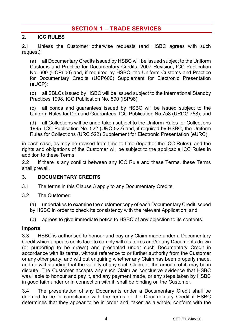## **SECTION 1 – TRADE SERVICES**

#### **2. ICC RULES**

2.1 Unless the Customer otherwise requests (and HSBC agrees with such request):

(a) all Documentary Credits issued by HSBC will be issued subject to the Uniform Customs and Practice for Documentary Credits, 2007 Revision, ICC Publication No. 600 (UCP600) and, if required by HSBC, the Uniform Customs and Practice for Documentary Credits (UCP600) Supplement for Electronic Presentation (eUCP);

(b) all SBLCs issued by HSBC will be issued subject to the International Standby Practices 1998, ICC Publication No. 590 (ISP98);

(c) all bonds and guarantees issued by HSBC will be issued subject to the Uniform Rules for Demand Guarantees, ICC Publication No.758 (URDG 758); and

(d) all Collections will be undertaken subject to the Uniform Rules for Collections 1995, ICC Publication No. 522 (URC 522) and, if required by HSBC, the Uniform Rules for Collections (URC 522) Supplement for Electronic Presentation (eURC),

in each case, as may be revised from time to time (together the ICC Rules), and the rights and obligations of the Customer will be subject to the applicable ICC Rules in addition to these Terms.

2.2 If there is any conflict between any ICC Rule and these Terms, these Terms shall prevail.

#### <span id="page-3-0"></span>**3. DOCUMENTARY CREDITS**

- 3.1 The terms in this Claus[e 3](#page-3-0) apply to any Documentary Credits.
- 3.2 The Customer:
	- (a) undertakes to examine the customer copy of each Documentary Credit issued by HSBC in order to check its consistency with the relevant Application; and
	- (b) agrees to give immediate notice to HSBC of any objection to its contents.

#### **Imports**

3.3 HSBC is authorised to honour and pay any Claim made under a Documentary Credit which appears on its face to comply with its terms and/or any Documents drawn (or purporting to be drawn) and presented under such Documentary Credit in accordance with its terms, without reference to or further authority from the Customer or any other party, and without enquiring whether any Claim has been properly made, and notwithstanding that the validity of any such Claim, or the amount of it, may be in dispute. The Customer accepts any such Claim as conclusive evidence that HSBC was liable to honour and pay it, and any payment made, or any steps taken by HSBC in good faith under or in connection with it, shall be binding on the Customer.

3.4 The presentation of any Documents under a Documentary Credit shall be deemed to be in compliance with the terms of the Documentary Credit if HSBC determines that they appear to be in order and, taken as a whole, conform with the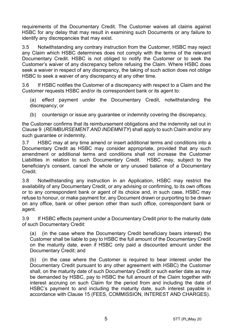requirements of the Documentary Credit. The Customer waives all claims against HSBC for any delay that may result in examining such Documents or any failure to identify any discrepancies that may exist.

3.5 Notwithstanding any contrary instruction from the Customer, HSBC may reject any Claim which HSBC determines does not comply with the terms of the relevant Documentary Credit. HSBC is not obliged to notify the Customer or to seek the Customer's waiver of any discrepancy before refusing the Claim. Where HSBC does seek a waiver in respect of any discrepancy, the taking of such action does not oblige HSBC to seek a waiver of any discrepancy at any other time.

3.6 If HSBC notifies the Customer of a discrepancy with respect to a Claim and the Customer requests HSBC and/or its correspondent bank or its agent to:

(a) effect payment under the Documentary Credit, notwithstanding the discrepancy; or

(b) countersign or issue any quarantee or indemnity covering the discrepancy,

the Customer confirms that its reimbursement obligations and the indemnity set out in Claus[e 9](#page-13-0) (*[REIMBURSEMENT AND INDEMNITY](#page-13-0)*) shall apply to such Claim and/or any such guarantee or indemnity.

3.7 HSBC may at any time amend or insert additional terms and conditions into a Documentary Credit as HSBC may consider appropriate, provided that any such amendment or additional terms and conditions shall not increase the Customer Liabilities in relation to such Documentary Credit. HSBC may, subject to the beneficiary's consent, cancel the whole or any unused balance of a Documentary Credit.

3.8 Notwithstanding any instruction in an Application, HSBC may restrict the availability of any Documentary Credit, or any advising or confirming, to its own offices or to any correspondent bank or agent of its choice and, in such case, HSBC may refuse to honour, or make payment for, any Document drawn or purporting to be drawn on any office, bank or other person other than such office, correspondent bank or agent.

3.9 If HSBC effects payment under a Documentary Credit prior to the maturity date of such Documentary Credit:

(a) (in the case where the Documentary Credit beneficiary bears interest) the Customer shall be liable to pay to HSBC the full amount of the Documentary Credit on the maturity date, even if HSBC only paid a discounted amount under the Documentary Credit; and

(b) (in the case where the Customer is required to bear interest under the Documentary Credit pursuant to any other agreement with HSBC) the Customer shall, on the maturity date of such Documentary Credit or such earlier date as may be demanded by HSBC, pay to HSBC the full amount of the Claim together with interest accruing on such Claim for the period from and including the date of HSBC's payment to and including the maturity date, such interest payable in accordance with Clause [15](#page-16-0) [\(FEES, COMMISSION, INTEREST AND CHARGES\)](#page-16-0).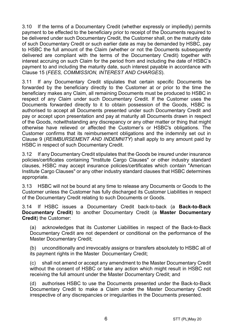3.10 If the terms of a Documentary Credit (whether expressly or impliedly) permits payment to be effected to the beneficiary prior to receipt of the Documents required to be delivered under such Documentary Credit, the Customer shall, on the maturity date of such Documentary Credit or such earlier date as may be demanded by HSBC, pay to HSBC the full amount of the Claim (whether or not the Documents subsequently delivered are compliant with the terms of the Documentary Credit) together with interest accruing on such Claim for the period from and including the date of HSBC's payment to and including the maturity date, such interest payable in accordance with Clause [15](#page-16-0) (*[FEES, COMMISSION, INTEREST AND CHARGES](#page-16-0)*).

3.11 If any Documentary Credit stipulates that certain specific Documents be forwarded by the beneficiary directly to the Customer at or prior to the time the beneficiary makes any Claim, all remaining Documents must be produced to HSBC in respect of any Claim under such Documentary Credit. If the Customer uses the Documents forwarded directly to it to obtain possession of the Goods, HSBC is authorised to accept all Documents presented under such Documentary Credit and pay or accept upon presentation and pay at maturity all Documents drawn in respect of the Goods, notwithstanding any discrepancy or any other matter or thing that might otherwise have relieved or affected the Customer's or HSBC's obligations. The Customer confirms that its reimbursement obligations and the indemnity set out in Clause [9](#page-13-0) (*[REIMBURSEMENT AND INDEMNITY](#page-13-0)*) shall apply to any amount paid by HSBC in respect of such Documentary Credit.

3.12 If any Documentary Credit stipulates that the Goods be insured under insurance policies/certificates containing "Institute Cargo Clauses" or other industry standard clauses, HSBC may accept insurance policies/certificates which contain "American Institute Cargo Clauses" or any other industry standard clauses that HSBC determines appropriate.

3.13 HSBC will not be bound at any time to release any Documents or Goods to the Customer unless the Customer has fully discharged its Customer Liabilities in respect of the Documentary Credit relating to such Documents or Goods.

<span id="page-5-0"></span>3.14 If HSBC issues a Documentary Credit back-to-back (a **Back-to-Back Documentary Credit**) to another Documentary Credit (a **Master Documentary Credit**) the Customer:

(a) acknowledges that its Customer Liabilities in respect of the Back-to-Back Documentary Credit are not dependent or conditional on the performance of the Master Documentary Credit;

(b) unconditionally and irrevocably assigns or transfers absolutely to HSBC all of its payment rights in the Master Documentary Credit;

(c) shall not amend or accept any amendment to the Master Documentary Credit without the consent of HSBC or take any action which might result in HSBC not receiving the full amount under the Master Documentary Credit; and

(d) authorises HSBC to use the Documents presented under the Back-to-Back Documentary Credit to make a Claim under the Master Documentary Credit irrespective of any discrepancies or irregularities in the Documents presented.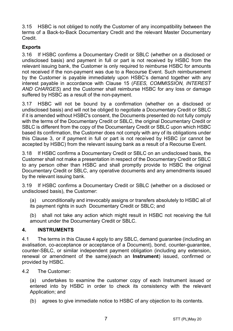3.15 HSBC is not obliged to notify the Customer of any incompatibility between the terms of a Back-to-Back Documentary Credit and the relevant Master Documentary Credit.

#### **Exports**

3.16 If HSBC confirms a Documentary Credit or SBLC (whether on a disclosed or undisclosed basis) and payment in full or part is not received by HSBC from the relevant issuing bank, the Customer is only required to reimburse HSBC for amounts not received if the non-payment was due to a Recourse Event. Such reimbursement by the Customer is payable immediately upon HSBC's demand together with any interest payable in accordance with Clause [15](#page-16-0) (*[FEES, COMMISSION, INTEREST](#page-16-0)  [AND CHARGES](#page-16-0)*) and the Customer shall reimburse HSBC for any loss or damage suffered by HSBC as a result of the non-payment.

3.17 HSBC will not be bound by a confirmation (whether on a disclosed or undisclosed basis) and will not be obliged to negotiate a Documentary Credit or SBLC if it is amended without HSBC's consent, the Documents presented do not fully comply with the terms of the Documentary Credit or SBLC, the original Documentary Credit or SBLC is different from the copy of the Documentary Credit or SBLC upon which HSBC based its confirmation, the Customer does not comply with any of its obligations under this Clause [3,](#page-3-0) or if payment in full or part is not received by HSBC (or cannot be accepted by HSBC) from the relevant issuing bank as a result of a Recourse Event.

3.18 If HSBC confirms a Documentary Credit or SBLC on an undisclosed basis, the Customer shall not make a presentation in respect of the Documentary Credit or SBLC to any person other than HSBC and shall promptly provide to HSBC the original Documentary Credit or SBLC, any operative documents and any amendments issued by the relevant issuing bank.

3.19 If HSBC confirms a Documentary Credit or SBLC (whether on a disclosed or undisclosed basis), the Customer:

(a) unconditionally and irrevocably assigns or transfers absolutely to HSBC all of its payment rights in such Documentary Credit or SBLC; and

(b) shall not take any action which might result in HSBC not receiving the full amount under the Documentary Credit or SBLC.

#### <span id="page-6-0"></span>**4. INSTRUMENTS**

4.1 The terms in this Claus[e 4](#page-6-0) apply to any SBLC, demand guarantee (including an avalisation, co-acceptance or acceptance of a Document), bond, counter-guarantee, counter-SBLC, or similar independent payment obligation (including any extension, renewal or amendment of the same)(each an **Instrument**) issued, confirmed or provided by HSBC.

4.2 The Customer:

(a) undertakes to examine the customer copy of each Instrument issued or entered into by HSBC in order to check its consistency with the relevant Application; and

(b) agrees to give immediate notice to HSBC of any objection to its contents.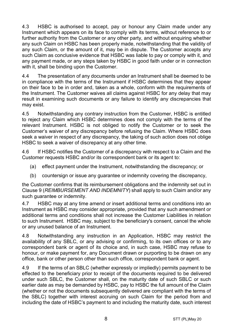4.3 HSBC is authorised to accept, pay or honour any Claim made under any Instrument which appears on its face to comply with its terms, without reference to or further authority from the Customer or any other party, and without enquiring whether any such Claim on HSBC has been properly made, notwithstanding that the validity of any such Claim, or the amount of it, may be in dispute. The Customer accepts any such Claim as conclusive evidence that HSBC was liable to pay or comply with it, and any payment made, or any steps taken by HSBC in good faith under or in connection with it, shall be binding upon the Customer.

4.4 The presentation of any documents under an Instrument shall be deemed to be in compliance with the terms of the Instrument if HSBC determines that they appear on their face to be in order and, taken as a whole, conform with the requirements of the Instrument. The Customer waives all claims against HSBC for any delay that may result in examining such documents or any failure to identify any discrepancies that may exist.

4.5 Notwithstanding any contrary instruction from the Customer, HSBC is entitled to reject any Claim which HSBC determines does not comply with the terms of the relevant Instrument. HSBC is not obliged to notify the Customer or to seek the Customer's waiver of any discrepancy before refusing the Claim. Where HSBC does seek a waiver in respect of any discrepancy, the taking of such action does not oblige HSBC to seek a waiver of discrepancy at any other time.

4.6 If HSBC notifies the Customer of a discrepancy with respect to a Claim and the Customer requests HSBC and/or its correspondent bank or its agent to:

- (a) effect payment under the Instrument, notwithstanding the discrepancy; or
- (b) countersign or issue any guarantee or indemnity covering the discrepancy,

the Customer confirms that its reimbursement obligations and the indemnity set out in Clause [9](#page-13-0) (*[REIMBURSEMENT AND INDEMNITY](#page-13-0)*) shall apply to such Claim and/or any such quarantee or indemnity.

4.7 HSBC may at any time amend or insert additional terms and conditions into an Instrument as HSBC may consider appropriate, provided that any such amendment or additional terms and conditions shall not increase the Customer Liabilities in relation to such Instrument. HSBC may, subject to the beneficiary's consent, cancel the whole or any unused balance of an Instrument.

4.8 Notwithstanding any instruction in an Application, HSBC may restrict the availability of any SBLC, or any advising or confirming, to its own offices or to any correspondent bank or agent of its choice and, in such case, HSBC may refuse to honour, or make payment for, any Document drawn or purporting to be drawn on any office, bank or other person other than such office, correspondent bank or agent.

4.9 If the terms of an SBLC (whether expressly or impliedly) permits payment to be effected to the beneficiary prior to receipt of the documents required to be delivered under such SBLC, the Customer shall, on the maturity date of such SBLC or such earlier date as may be demanded by HSBC, pay to HSBC the full amount of the Claim (whether or not the documents subsequently delivered are compliant with the terms of the SBLC) together with interest accruing on such Claim for the period from and including the date of HSBC's payment to and including the maturity date, such interest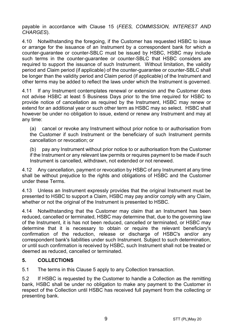payable in accordance with Clause [15](#page-16-0) (*[FEES, COMMISSION, INTEREST AND](#page-16-0)  [CHARGES](#page-16-0)*).

4.10 Notwithstanding the foregoing, if the Customer has requested HSBC to issue or arrange for the issuance of an Instrument by a correspondent bank for which a counter-guarantee or counter-SBLC must be issued by HSBC, HSBC may include such terms in the counter-guarantee or counter-SBLC that HSBC considers are required to support the issuance of such Instrument. Without limitation, the validity period and Claim period (if applicable) of the counter-guarantee or counter-SBLC shall be longer than the validity period and Claim period (if applicable) of the Instrument and other terms may be added to reflect the laws under which the Instrument is governed.

4.11 If any Instrument contemplates renewal or extension and the Customer does not advise HSBC at least 5 Business Days prior to the time required for HSBC to provide notice of cancellation as required by the Instrument, HSBC may renew or extend for an additional year or such other term as HSBC may so select. HSBC shall however be under no obligation to issue, extend or renew any Instrument and may at any time:

(a) cancel or revoke any Instrument without prior notice to or authorisation from the Customer if such Instrument or the beneficiary of such Instrument permits cancellation or revocation; or

(b) pay any Instrument without prior notice to or authorisation from the Customer if the Instrument or any relevant law permits or requires payment to be made if such Instrument is cancelled, withdrawn, not extended or not renewed.

4.12 Any cancellation, payment or revocation by HSBC of any Instrument at any time shall be without prejudice to the rights and obligations of HSBC and the Customer under these Terms.

4.13 Unless an Instrument expressly provides that the original Instrument must be presented to HSBC to support a Claim, HSBC may pay and/or comply with any Claim, whether or not the original of the Instrument is presented to HSBC.

4.14 Notwithstanding that the Customer may claim that an Instrument has been reduced, cancelled or terminated, HSBC may determine that, due to the governing law of the Instrument, it is has not been reduced, cancelled or terminated, or HSBC may determine that it is necessary to obtain or require the relevant beneficiary's confirmation of the reduction, release or discharge of HSBC's and/or any correspondent bank's liabilities under such Instrument. Subject to such determination, or until such confirmation is received by HSBC, such Instrument shall not be treated or deemed as reduced, cancelled or terminated.

#### <span id="page-8-0"></span>**5. COLLECTIONS**

5.1 The terms in this Claus[e 5](#page-8-0) apply to any Collection transaction.

5.2 If HSBC is requested by the Customer to handle a Collection as the remitting bank, HSBC shall be under no obligation to make any payment to the Customer in respect of the Collection until HSBC has received full payment from the collecting or presenting bank.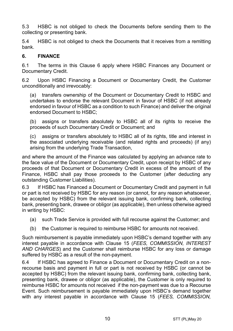5.3 HSBC is not obliged to check the Documents before sending them to the collecting or presenting bank.

5.4 HSBC is not obliged to check the Documents that it receives from a remitting bank.

#### <span id="page-9-0"></span>**6. FINANCE**

6.1 The terms in this Clause [6](#page-9-0) apply where HSBC Finances any Document or Documentary Credit.

6.2 Upon HSBC Financing a Document or Documentary Credit, the Customer unconditionally and irrevocably:

(a) transfers ownership of the Document or Documentary Credit to HSBC and undertakes to endorse the relevant Document in favour of HSBC (if not already endorsed in favour of HSBC as a condition to such Finance) and deliver the original endorsed Document to HSBC;

(b) assigns or transfers absolutely to HSBC all of its rights to receive the proceeds of such Documentary Credit or Document; and

(c) assigns or transfers absolutely to HSBC all of its rights, title and interest in the associated underlying receivable (and related rights and proceeds) (if any) arising from the underlying Trade Transaction,

and where the amount of the Finance was calculated by applying an advance rate to the face value of the Document or Documentary Credit, upon receipt by HSBC of any proceeds of that Document or Documentary Credit in excess of the amount of the Finance, HSBC shall pay those proceeds to the Customer (after deducting any outstanding Customer Liabilities).

6.3 If HSBC has Financed a Document or Documentary Credit and payment in full or part is not received by HSBC for any reason (or cannot, for any reason whatsoever, be accepted by HSBC) from the relevant issuing bank, confirming bank, collecting bank, presenting bank, drawee or obligor (as applicable), then unless otherwise agreed in writing by HSBC:

- (a) such Trade Service is provided with full recourse against the Customer; and
- (b) the Customer is required to reimburse HSBC for amounts not received.

Such reimbursement is payable immediately upon HSBC's demand together with any interest payable in accordance with Clause [15](#page-16-0) (*[FEES, COMMISSION, INTEREST](#page-16-0)  [AND CHARGES](#page-16-0)*) and the Customer shall reimburse HSBC for any loss or damage suffered by HSBC as a result of the non-payment.

6.4 If HSBC has agreed to Finance a Document or Documentary Credit on a nonrecourse basis and payment in full or part is not received by HSBC (or cannot be accepted by HSBC) from the relevant issuing bank, confirming bank, collecting bank, presenting bank, drawee or obligor (as applicable), the Customer is only required to reimburse HSBC for amounts not received if the non-payment was due to a Recourse Event. Such reimbursement is payable immediately upon HSBC's demand together with any interest payable in accordance with Clause [15](#page-16-0) (*[FEES, COMMISSION,](#page-16-0)*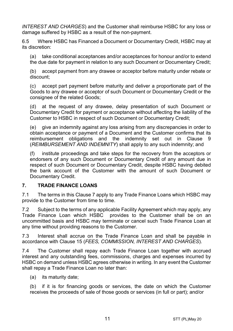*[INTEREST AND CHARGES](#page-16-0)*) and the Customer shall reimburse HSBC for any loss or damage suffered by HSBC as a result of the non-payment.

6.5 Where HSBC has Financed a Document or Documentary Credit, HSBC may at its discretion:

(a) take conditional acceptances and/or acceptances for honour and/or to extend the due date for payment in relation to any such Document or Documentary Credit;

(b) accept payment from any drawee or acceptor before maturity under rebate or discount;

(c) accept part payment before maturity and deliver a proportionate part of the Goods to any drawee or acceptor of such Document or Documentary Credit or the consignee of the related Goods;

(d) at the request of any drawee, delay presentation of such Document or Documentary Credit for payment or acceptance without affecting the liability of the Customer to HSBC in respect of such Document or Documentary Credit;

(e) give an indemnity against any loss arising from any discrepancies in order to obtain acceptance or payment of a Document and the Customer confirms that its reimbursement obligations and the indemnity set out in Clause [9](#page-13-0) (*[REIMBURSEMENT AND INDEMNITY](#page-13-0)*) shall apply to any such indemnity; and

(f) institute proceedings and take steps for the recovery from the acceptors or endorsers of any such Document or Documentary Credit of any amount due in respect of such Document or Documentary Credit, despite HSBC having debited the bank account of the Customer with the amount of such Document or Documentary Credit.

#### <span id="page-10-0"></span>**7. TRADE FINANCE LOANS**

7.1 The terms in this Claus[e 7](#page-10-0) apply to any Trade Finance Loans which HSBC may provide to the Customer from time to time.

7.2 Subject to the terms of any applicable Facility Agreement which may apply, any Trade Finance Loan which HSBC provides to the Customer shall be on an uncommitted basis and HSBC may terminate or cancel such Trade Finance Loan at any time without providing reasons to the Customer.

7.3 Interest shall accrue on the Trade Finance Loan and shall be payable in accordance with Clause [15](#page-16-0) (*[FEES, COMMISSION, INTEREST AND CHARGES](#page-16-0)*).

7.4 The Customer shall repay each Trade Finance Loan together with accrued interest and any outstanding fees, commissions, charges and expenses incurred by HSBC on demand unless HSBC agrees otherwise in writing. In any event the Customer shall repay a Trade Finance Loan no later than:

(a) its maturity date;

(b) if it is for financing goods or services, the date on which the Customer receives the proceeds of sale of those goods or services (in full or part); and/or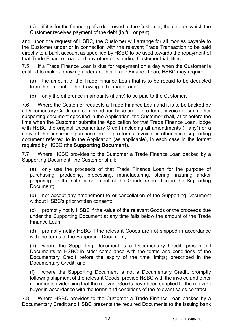(c) if it is for the financing of a debt owed to the Customer, the date on which the Customer receives payment of the debt (in full or part),

and, upon the request of HSBC, the Customer will arrange for all monies payable to the Customer under or in connection with the relevant Trade Transaction to be paid directly to a bank account as specified by HSBC to be used towards the repayment of that Trade Finance Loan and any other outstanding Customer Liabilities.

7.5 If a Trade Finance Loan is due for repayment on a day when the Customer is entitled to make a drawing under another Trade Finance Loan, HSBC may require:

(a) the amount of the Trade Finance Loan that is to be repaid to be deducted from the amount of the drawing to be made; and

(b) only the difference in amounts (if any) to be paid to the Customer.

7.6 Where the Customer requests a Trade Finance Loan and it is to be backed by a Documentary Credit or a confirmed purchase order, pro-forma invoice or such other supporting document specified in the Application, the Customer shall, at or before the time when the Customer submits the Application for that Trade Finance Loan, lodge with HSBC the original Documentary Credit (including all amendments (if any)) or a copy of the confirmed purchase order, pro-forma invoice or other such supporting document referred to in the Application (as applicable), in each case in the format required by HSBC (the **Supporting Document**).

7.7 Where HSBC provides to the Customer a Trade Finance Loan backed by a Supporting Document, the Customer shall:

(a) only use the proceeds of that Trade Finance Loan for the purpose of purchasing, producing, processing, manufacturing, storing, insuring and/or preparing for the sale or shipment of the Goods referred to in the Supporting Document;

(b) not accept any amendment to or cancellation of the Supporting Document without HSBC's prior written consent;

(c) promptly notify HSBC if the value of the relevant Goods or the proceeds due under the Supporting Document at any time falls below the amount of the Trade Finance Loan;

(d) promptly notify HSBC if the relevant Goods are not shipped in accordance with the terms of the Supporting Document;

(e) where the Supporting Document is a Documentary Credit, present all Documents to HSBC in strict compliance with the terms and conditions of the Documentary Credit before the expiry of the time limit(s) prescribed in the Documentary Credit; and

where the Supporting Document is not a Documentary Credit, promptly following shipment of the relevant Goods, provide HSBC with the invoice and other documents evidencing that the relevant Goods have been supplied to the relevant buyer in accordance with the terms and conditions of the relevant sales contract.

7.8 Where HSBC provides to the Customer a Trade Finance Loan backed by a Documentary Credit and HSBC presents the required Documents to the issuing bank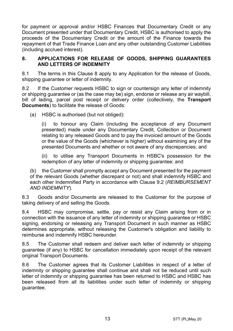for payment or approval and/or HSBC Finances that Documentary Credit or any Document presented under that Documentary Credit, HSBC is authorised to apply the proceeds of the Documentary Credit or the amount of the Finance towards the repayment of that Trade Finance Loan and any other outstanding Customer Liabilities (including accrued interest).

#### <span id="page-12-0"></span>**8. APPLICATIONS FOR RELEASE OF GOODS, SHIPPING GUARANTEES AND LETTERS OF INDEMNITY**

8.1 The terms in this Clause [8](#page-12-0) apply to any Application for the release of Goods, shipping guarantee or letter of indemnity.

8.2 If the Customer requests HSBC to sign or countersign any letter of indemnity or shipping guarantee or (as the case may be) sign, endorse or release any air waybill, bill of lading, parcel post receipt or delivery order (collectively, the **Transport Documents**) to facilitate the release of Goods:

(a) HSBC is authorised (but not obliged):

(i) to honour any Claim (including the acceptance of any Document presented) made under any Documentary Credit, Collection or Document relating to any released Goods and to pay the invoiced amount of the Goods or the value of the Goods (whichever is higher) without examining any of the presented Documents and whether or not aware of any discrepancies; and

(ii) to utilise any Transport Documents in HSBC's possession for the redemption of any letter of indemnity or shipping guarantee; and

(b) the Customer shall promptly accept any Document presented for the payment of the relevant Goods (whether discrepant or not) and shall indemnify HSBC and each other Indemnified Party in accordance with Clause [9.2](#page-13-1) (*[REIMBURSEMENT](#page-13-0)  [AND INDEMNITY](#page-13-0)*).

8.3 Goods and/or Documents are released to the Customer for the purpose of taking delivery of and selling the Goods.

8.4 HSBC may compromise, settle, pay or resist any Claim arising from or in connection with the issuance of any letter of indemnity or shipping guarantee or HSBC signing, endorsing or releasing any Transport Document in such manner as HSBC determines appropriate, without releasing the Customer's obligation and liability to reimburse and indemnify HSBC hereunder.

8.5 The Customer shall redeem and deliver each letter of indemnity or shipping guarantee (if any) to HSBC for cancellation immediately upon receipt of the relevant original Transport Documents.

8.6 The Customer agrees that its Customer Liabilities in respect of a letter of indemnity or shipping guarantee shall continue and shall not be reduced until such letter of indemnity or shipping guarantee has been returned to HSBC and HSBC has been released from all its liabilities under such letter of indemnity or shipping guarantee.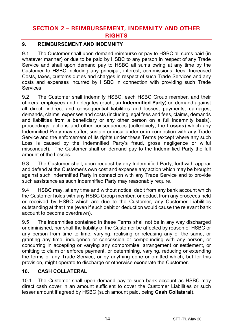## **SECTION 2 – REIMBURSEMENT, INDEMNITY AND OTHER RIGHTS**

### <span id="page-13-0"></span>**9. REIMBURSEMENT AND INDEMNITY**

9.1 The Customer shall upon demand reimburse or pay to HSBC all sums paid (in whatever manner) or due to be paid by HSBC to any person in respect of any Trade Service and shall upon demand pay to HSBC all sums owing at any time by the Customer to HSBC including any principal, interest, commissions, fees, Increased Costs, taxes, customs duties and charges in respect of such Trade Services and any costs and expenses incurred by HSBC in connection with providing such Trade Services.

<span id="page-13-1"></span>9.2 The Customer shall indemnify HSBC, each HSBC Group member, and their officers, employees and delegates (each, an **Indemnified Party**) on demand against all direct, indirect and consequential liabilities and losses, payments, damages, demands, claims, expenses and costs (including legal fees and fees, claims, demands and liabilities from a beneficiary or any other person on a full indemnity basis), proceedings, actions and other consequences (collectively, the **Losses**) which any Indemnified Party may suffer, sustain or incur under or in connection with any Trade Service and the enforcement of its rights under these Terms (except where any such Loss is caused by the Indemnified Party's fraud, gross negligence or wilful misconduct). The Customer shall on demand pay to the Indemnified Party the full amount of the Losses.

9.3 The Customer shall, upon request by any Indemnified Party, forthwith appear and defend at the Customer's own cost and expense any action which may be brought against such Indemnified Party in connection with any Trade Service and to provide such assistance as such Indemnified Party may reasonably require.

9.4 HSBC may, at any time and without notice, debit from any bank account which the Customer holds with any HSBC Group member, or deduct from any proceeds held or received by HSBC which are due to the Customer, any Customer Liabilities outstanding at that time (even if such debit or deduction would cause the relevant bank account to become overdrawn).

9.5 The indemnities contained in these Terms shall not be in any way discharged or diminished, nor shall the liability of the Customer be affected by reason of HSBC or any person from time to time, varying, realising or releasing any of the same, or granting any time, indulgence or concession or compounding with any person, or concurring in accepting or varying any compromise, arrangement or settlement, or omitting to claim or enforce payment, or determining, varying, reducing or extending the terms of any Trade Service, or by anything done or omitted which, but for this provision, might operate to discharge or otherwise exonerate the Customer.

#### <span id="page-13-2"></span>**10. CASH COLLATERAL**

10.1 The Customer shall upon demand pay to such bank account as HSBC may direct cash cover in an amount sufficient to cover the Customer Liabilities or such lesser amount if agreed by HSBC (such amount paid, being **Cash Collateral**).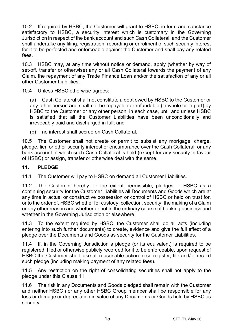10.2 If required by HSBC, the Customer will grant to HSBC, in form and substance satisfactory to HSBC, a security interest which is customary in the Governing Jurisdiction in respect of the bank account and such Cash Collateral, and the Customer shall undertake any filing, registration, recording or enrolment of such security interest for it to be perfected and enforceable against the Customer and shall pay any related fees.

10.3 HSBC may, at any time without notice or demand, apply (whether by way of set-off, transfer or otherwise) any or all Cash Collateral towards the payment of any Claim, the repayment of any Trade Finance Loan and/or the satisfaction of any or all other Customer Liabilities.

10.4 Unless HSBC otherwise agrees:

(a) Cash Collateral shall not constitute a debt owed by HSBC to the Customer or any other person and shall not be repayable or refundable (in whole or in part) by HSBC to the Customer or any other person, in each case, until and unless HSBC is satisfied that all the Customer Liabilities have been unconditionally and irrevocably paid and discharged in full; and

(b) no interest shall accrue on Cash Collateral.

10.5 The Customer shall not create or permit to subsist any mortgage, charge, pledge, lien or other security interest or encumbrance over the Cash Collateral, or any bank account in which such Cash Collateral is held (except for any security in favour of HSBC) or assign, transfer or otherwise deal with the same.

#### <span id="page-14-0"></span>**11. PLEDGE**

11.1 The Customer will pay to HSBC on demand all Customer Liabilities.

11.2 The Customer hereby, to the extent permissible, pledges to HSBC as a continuing security for the Customer Liabilities all Documents and Goods which are at any time in actual or constructive possession or control of HSBC or held on trust for, or to the order of, HSBC whether for custody, collection, security, the making of a Claim or any other reason and whether or not in the ordinary course of banking business and whether in the Governing Jurisdiction or elsewhere.

11.3 To the extent required by HSBC, the Customer shall do all acts (including entering into such further documents) to create, evidence and give the full effect of a pledge over the Documents and Goods as security for the Customer Liabilities.

11.4 If, in the Governing Jurisdiction a pledge (or its equivalent) is required to be registered, filed or otherwise publicly recorded for it to be enforceable, upon request of HSBC the Customer shall take all reasonable action to so register, file and/or record such pledge (including making payment of any related fees).

11.5 Any restriction on the right of consolidating securities shall not apply to the pledge under this Clause [11.](#page-14-0)

11.6 The risk in any Documents and Goods pledged shall remain with the Customer and neither HSBC nor any other HSBC Group member shall be responsible for any loss or damage or depreciation in value of any Documents or Goods held by HSBC as security.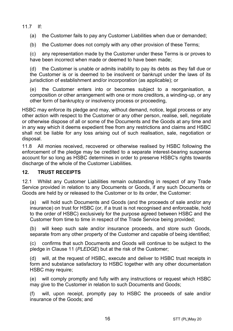11.7 If:

(a) the Customer fails to pay any Customer Liabilities when due or demanded;

(b) the Customer does not comply with any other provision of these Terms;

(c) any representation made by the Customer under these Terms is or proves to have been incorrect when made or deemed to have been made:

(d) the Customer is unable or admits inability to pay its debts as they fall due or the Customer is or is deemed to be insolvent or bankrupt under the laws of its jurisdiction of establishment and/or incorporation (as applicable); or

(e) the Customer enters into or becomes subject to a reorganisation, a composition or other arrangement with one or more creditors, a winding-up, or any other form of bankruptcy or insolvency process or proceeding,

HSBC may enforce its pledge and may, without demand, notice, legal process or any other action with respect to the Customer or any other person, realise, sell, negotiate or otherwise dispose of all or some of the Documents and the Goods at any time and in any way which it deems expedient free from any restrictions and claims and HSBC shall not be liable for any loss arising out of such realisation, sale, negotiation or disposal.

11.8 All monies received, recovered or otherwise realised by HSBC following the enforcement of the pledge may be credited to a separate interest-bearing suspense account for so long as HSBC determines in order to preserve HSBC's rights towards discharge of the whole of the Customer Liabilities.

#### **12. TRUST RECEIPTS**

12.1 Whilst any Customer Liabilities remain outstanding in respect of any Trade Service provided in relation to any Documents or Goods, if any such Documents or Goods are held by or released to the Customer or to its order, the Customer:

(a) will hold such Documents and Goods (and the proceeds of sale and/or any insurance) on trust for HSBC (or, if a trust is not recognised and enforceable, hold to the order of HSBC) exclusively for the purpose agreed between HSBC and the Customer from time to time in respect of the Trade Service being provided;

(b) will keep such sale and/or insurance proceeds, and store such Goods, separate from any other property of the Customer and capable of being identified;

(c) confirms that such Documents and Goods will continue to be subject to the pledge in Claus[e 11](#page-14-0) (*[PLEDGE](#page-14-0)*) but at the risk of the Customer;

(d) will, at the request of HSBC, execute and deliver to HSBC trust receipts in form and substance satisfactory to HSBC together with any other documentation HSBC may require;

(e) will comply promptly and fully with any instructions or request which HSBC may give to the Customer in relation to such Documents and Goods;

(f) will, upon receipt, promptly pay to HSBC the proceeds of sale and/or insurance of the Goods; and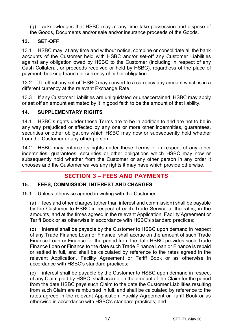(g) acknowledges that HSBC may at any time take possession and dispose of

## the Goods, Documents and/or sale and/or insurance proceeds of the Goods.

#### **13. SET-OFF**

13.1 HSBC may, at any time and without notice, combine or consolidate all the bank accounts of the Customer held with HSBC and/or set-off any Customer Liabilities against any obligation owed by HSBC to the Customer (including in respect of any Cash Collateral, or proceeds received or held by HSBC), regardless of the place of payment, booking branch or currency of either obligation.

13.2 To effect any set-off HSBC may convert to a currency any amount which is in a different currency at the relevant Exchange Rate.

13.3 If any Customer Liabilities are unliquidated or unascertained, HSBC may apply or set off an amount estimated by it in good faith to be the amount of that liability.

#### **14. SUPPLEMENTARY RIGHTS**

14.1 HSBC's rights under these Terms are to be in addition to and are not to be in any way prejudiced or affected by any one or more other indemnities, guarantees, securities or other obligations which HSBC may now or subsequently hold whether from the Customer or any other person.

14.2 HSBC may enforce its rights under these Terms or in respect of any other indemnities, guarantees, securities or other obligations which HSBC may now or subsequently hold whether from the Customer or any other person in any order it chooses and the Customer waives any rights it may have which provide otherwise.

## **SECTION 3 – FEES AND PAYMENTS**

#### <span id="page-16-0"></span>**15. FEES, COMMISSION, INTEREST AND CHARGES**

15.1 Unless otherwise agreed in writing with the Customer:

(a) fees and other charges (other than interest and commission) shall be payable by the Customer to HSBC in respect of each Trade Service at the rates, in the amounts, and at the times agreed in the relevant Application, Facility Agreement or Tariff Book or as otherwise in accordance with HSBC's standard practices;

(b) interest shall be payable by the Customer to HSBC upon demand in respect of any Trade Finance Loan or Finance, shall accrue on the amount of such Trade Finance Loan or Finance for the period from the date HSBC provides such Trade Finance Loan or Finance to the date such Trade Finance Loan or Finance is repaid or settled in full, and shall be calculated by reference to the rates agreed in the relevant Application, Facility Agreement or Tariff Book or as otherwise in accordance with HSBC's standard practices;

(c) interest shall be payable by the Customer to HSBC upon demand in respect of any Claim paid by HSBC, shall accrue on the amount of the Claim for the period from the date HSBC pays such Claim to the date the Customer Liabilities resulting from such Claim are reimbursed in full, and shall be calculated by reference to the rates agreed in the relevant Application, Facility Agreement or Tariff Book or as otherwise in accordance with HSBC's standard practices; and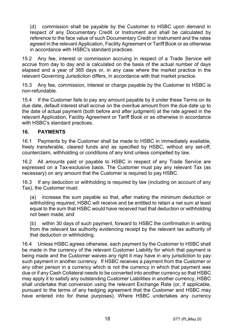(d) commission shall be payable by the Customer to HSBC upon demand in respect of any Documentary Credit or Instrument and shall be calculated by reference to the face value of such Documentary Credit or Instrument and the rates agreed in the relevant Application, Facility Agreement or Tariff Book or as otherwise in accordance with HSBC's standard practices.

15.2 Any fee, interest or commission accruing in respect of a Trade Service will accrue from day to day and is calculated on the basis of the actual number of days elapsed and a year of 365 days or, in any case where the market practice in the relevant Governing Jurisdiction differs, in accordance with that market practice.

15.3 Any fee, commission, interest or charge payable by the Customer to HSBC is non-refundable.

15.4 If the Customer fails to pay any amount payable by it under these Terms on its due date, default interest shall accrue on the overdue amount from the due date up to the date of actual payment (both before and after judgment) at the rate agreed in the relevant Application, Facility Agreement or Tariff Book or as otherwise in accordance with HSBC's standard practices.

#### **16. PAYMENTS**

16.1 Payments by the Customer shall be made to HSBC in immediately available, freely transferable, cleared funds and as specified by HSBC, without any set-off, counterclaim, withholding or conditions of any kind unless compelled by law.

16.2 All amounts paid or payable to HSBC in respect of any Trade Service are expressed on a Tax-exclusive basis. The Customer must pay any relevant Tax (as necessary) on any amount that the Customer is required to pay HSBC.

16.3 If any deduction or withholding is required by law (including on account of any Tax), the Customer must:

(a) increase the sum payable so that, after making the minimum deduction or withholding required, HSBC will receive and be entitled to retain a net sum at least equal to the sum that HSBC would have received had that deduction or withholding not been made; and

(b) within 30 days of such payment, forward to HSBC the confirmation in writing from the relevant tax authority evidencing receipt by the relevant tax authority of that deduction or withholding.

16.4 Unless HSBC agrees otherwise, each payment by the Customer to HSBC shall be made in the currency of the relevant Customer Liability for which that payment is being made and the Customer waives any right it may have in any jurisdiction to pay such payment in another currency. If HSBC receives a payment from the Customer or any other person in a currency which is not the currency in which that payment was due or if any Cash Collateral needs to be converted into another currency so that HSBC may apply it to satisfy any outstanding Customer Liabilities in another currency, HSBC shall undertake that conversion using the relevant Exchange Rate (or, if applicable, pursuant to the terms of any hedging agreement that the Customer and HSBC may have entered into for these purposes). Where HSBC undertakes any currency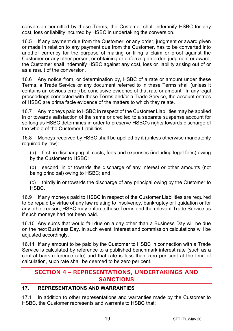conversion permitted by these Terms, the Customer shall indemnify HSBC for any cost, loss or liability incurred by HSBC in undertaking the conversion.

16.5 If any payment due from the Customer, or any order, judgment or award given or made in relation to any payment due from the Customer, has to be converted into another currency for the purpose of making or filing a claim or proof against the Customer or any other person, or obtaining or enforcing an order, judgment or award, the Customer shall indemnify HSBC against any cost, loss or liability arising out of or as a result of the conversion.

16.6 Any notice from, or determination by, HSBC of a rate or amount under these Terms, a Trade Service or any document referred to in these Terms shall (unless it contains an obvious error) be conclusive evidence of that rate or amount. In any legal proceedings connected with these Terms and/or a Trade Service, the account entries of HSBC are prima facie evidence of the matters to which they relate.

16.7 Any moneys paid to HSBC in respect of the Customer Liabilities may be applied in or towards satisfaction of the same or credited to a separate suspense account for so long as HSBC determines in order to preserve HSBC's rights towards discharge of the whole of the Customer Liabilities.

16.8 Moneys received by HSBC shall be applied by it (unless otherwise mandatorily required by law):

(a) first, in discharging all costs, fees and expenses (including legal fees) owing by the Customer to HSBC;

(b) second, in or towards the discharge of any interest or other amounts (not being principal) owing to HSBC; and

(c) thirdly in or towards the discharge of any principal owing by the Customer to HSBC.

16.9 If any moneys paid to HSBC in respect of the Customer Liabilities are required to be repaid by virtue of any law relating to insolvency, bankruptcy or liquidation or for any other reason, HSBC may enforce these Terms and the relevant Trade Service as if such moneys had not been paid.

16.10 Any sums that would fall due on a day other than a Business Day will be due on the next Business Day. In such event, interest and commission calculations will be adjusted accordingly.

16.11 If any amount to be paid by the Customer to HSBC in connection with a Trade Service is calculated by reference to a published benchmark interest rate (such as a central bank reference rate) and that rate is less than zero per cent at the time of calculation, such rate shall be deemed to be zero per cent.

## **SECTION 4 – REPRESENTATIONS, UNDERTAKINGS AND SANCTIONS**

#### **17. REPRESENTATIONS AND WARRANTIES**

17.1 In addition to other representations and warranties made by the Customer to HSBC, the Customer represents and warrants to HSBC that: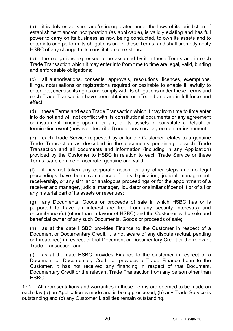(a) it is duly established and/or incorporated under the laws of its jurisdiction of establishment and/or incorporation (as applicable), is validly existing and has full power to carry on its business as now being conducted, to own its assets and to enter into and perform its obligations under these Terms, and shall promptly notify HSBC of any change to its constitution or existence;

(b) the obligations expressed to be assumed by it in these Terms and in each Trade Transaction which it may enter into from time to time are legal, valid, binding and enforceable obligations;

(c) all authorisations, consents, approvals, resolutions, licences, exemptions, filings, notarisations or registrations required or desirable to enable it lawfully to enter into, exercise its rights and comply with its obligations under these Terms and each Trade Transaction have been obtained or effected and are in full force and effect;

(d) these Terms and each Trade Transaction which it may from time to time enter into do not and will not conflict with its constitutional documents or any agreement or instrument binding upon it or any of its assets or constitute a default or termination event (however described) under any such agreement or instrument;

(e) each Trade Service requested by or for the Customer relates to a genuine Trade Transaction as described in the documents pertaining to such Trade Transaction and all documents and information (including in any Application) provided by the Customer to HSBC in relation to each Trade Service or these Terms is/are complete, accurate, genuine and valid;

(f) it has not taken any corporate action, or any other steps and no legal proceedings have been commenced for its liquidation, judicial management, receivership, or any similar or analogous proceedings or for the appointment of a receiver and manager, judicial manager, liquidator or similar officer of it or of all or any material part of its assets or revenues;

(g) any Documents, Goods or proceeds of sale in which HSBC has or is purported to have an interest are free from any security interest(s) and encumbrance(s) (other than in favour of HSBC) and the Customer is the sole and beneficial owner of any such Documents, Goods or proceeds of sale;

(h) as at the date HSBC provides Finance to the Customer in respect of a Document or Documentary Credit, it is not aware of any dispute (actual, pending or threatened) in respect of that Document or Documentary Credit or the relevant Trade Transaction; and

(i) as at the date HSBC provides Finance to the Customer in respect of a Document or Documentary Credit or provides a Trade Finance Loan to the Customer, it has not received any financing in respect of that Document, Documentary Credit or the relevant Trade Transaction from any person other than HSBC.

17.2 All representations and warranties in these Terms are deemed to be made on each day (a) an Application is made and is being processed, (b) any Trade Service is outstanding and (c) any Customer Liabilities remain outstanding.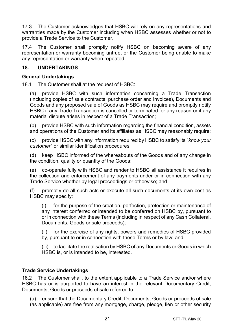17.3 The Customer acknowledges that HSBC will rely on any representations and warranties made by the Customer including when HSBC assesses whether or not to provide a Trade Service to the Customer.

17.4 The Customer shall promptly notify HSBC on becoming aware of any representation or warranty becoming untrue, or the Customer being unable to make any representation or warranty when repeated.

#### **18. UNDERTAKINGS**

#### **General Undertakings**

18.1 The Customer shall at the request of HSBC:

(a) provide HSBC with such information concerning a Trade Transaction (including copies of sale contracts, purchase order and invoices), Documents and Goods and any proposed sale of Goods as HSBC may require and promptly notify HSBC if any Trade Transaction is cancelled or terminated for any reason or if any material dispute arises in respect of a Trade Transaction;

(b) provide HSBC with such information regarding the financial condition, assets and operations of the Customer and its affiliates as HSBC may reasonably require;

(c) provide HSBC with any information required by HSBC to satisfy its "*know your customer*" or similar identification procedures;

(d) keep HSBC informed of the whereabouts of the Goods and of any change in the condition, quality or quantity of the Goods;

(e) co-operate fully with HSBC and render to HSBC all assistance it requires in the collection and enforcement of any payments under or in connection with any Trade Service whether by legal proceedings or otherwise; and

(f) promptly do all such acts or execute all such documents at its own cost as HSBC may specify:

(i) for the purpose of the creation, perfection, protection or maintenance of any interest conferred or intended to be conferred on HSBC by, pursuant to or in connection with these Terms (including in respect of any Cash Collateral, Documents, Goods or sale proceeds);

(ii) for the exercise of any rights, powers and remedies of HSBC provided by, pursuant to or in connection with these Terms or by law; and

(iii) to facilitate the realisation by HSBC of any Documents or Goods in which HSBC is, or is intended to be, interested.

#### **Trade Service Undertakings**

18.2 The Customer shall, to the extent applicable to a Trade Service and/or where HSBC has or is purported to have an interest in the relevant Documentary Credit, Documents, Goods or proceeds of sale referred to:

(a) ensure that the Documentary Credit, Documents, Goods or proceeds of sale (as applicable) are free from any mortgage, charge, pledge, lien or other security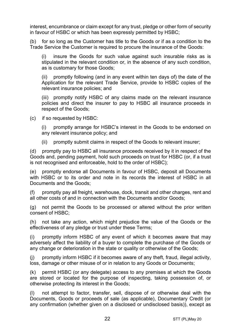interest, encumbrance or claim except for any trust, pledge or other form of security in favour of HSBC or which has been expressly permitted by HSBC;

(b) for so long as the Customer has title to the Goods or if as a condition to the Trade Service the Customer is required to procure the insurance of the Goods:

(i) insure the Goods for such value against such insurable risks as is stipulated in the relevant condition or, in the absence of any such condition, as is customary for those Goods;

(ii) promptly following (and in any event within ten days of) the date of the Application for the relevant Trade Service, provide to HSBC copies of the relevant insurance policies; and

(iii) promptly notify HSBC of any claims made on the relevant insurance policies and direct the insurer to pay to HSBC all insurance proceeds in respect of the Goods;

(c) if so requested by HSBC:

(i) promptly arrange for HSBC's interest in the Goods to be endorsed on any relevant insurance policy; and

(ii) promptly submit claims in respect of the Goods to relevant insurer;

(d) promptly pay to HSBC all insurance proceeds received by it in respect of the Goods and, pending payment, hold such proceeds on trust for HSBC (or, if a trust is not recognised and enforceable, hold to the order of HSBC);

(e) promptly endorse all Documents in favour of HSBC, deposit all Documents with HSBC or to its order and note in its records the interest of HSBC in all Documents and the Goods;

promptly pay all freight, warehouse, dock, transit and other charges, rent and all other costs of and in connection with the Documents and/or Goods;

(g) not permit the Goods to be processed or altered without the prior written consent of HSBC;

(h) not take any action, which might prejudice the value of the Goods or the effectiveness of any pledge or trust under these Terms;

(i) promptly inform HSBC of any event of which it becomes aware that may adversely affect the liability of a buyer to complete the purchase of the Goods or any change or deterioration in the state or quality or otherwise of the Goods;

(j) promptly inform HSBC if it becomes aware of any theft, fraud, illegal activity, loss, damage or other misuse of or in relation to any Goods or Documents;

(k) permit HSBC (or any delegate) access to any premises at which the Goods are stored or located for the purpose of inspecting, taking possession of, or otherwise protecting its interest in the Goods;

(l) not attempt to factor, transfer, sell, dispose of or otherwise deal with the Documents, Goods or proceeds of sale (as applicable), Documentary Credit (or any confirmation (whether given on a disclosed or undisclosed basis)), except as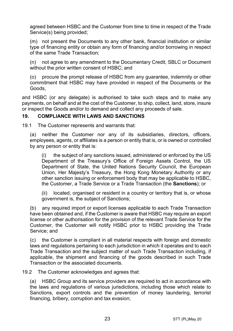agreed between HSBC and the Customer from time to time in respect of the Trade Service(s) being provided;

(m) not present the Documents to any other bank, financial institution or similar type of financing entity or obtain any form of financing and/or borrowing in respect of the same Trade Transaction;

(n) not agree to any amendment to the Documentary Credit, SBLC or Document without the prior written consent of HSBC; and

(o) procure the prompt release of HSBC from any guarantee, indemnity or other commitment that HSBC may have provided in respect of the Documents or the Goods,

and HSBC (or any delegate) is authorised to take such steps and to make any payments, on behalf and at the cost of the Customer, to ship, collect, land, store, insure or inspect the Goods and/or to demand and collect any proceeds of sale.

#### <span id="page-22-0"></span>**19. COMPLIANCE WITH LAWS AND SANCTIONS**

19.1 The Customer represents and warrants that:

(a) neither the Customer nor any of its subsidiaries, directors, officers, employees, agents, or affiliates is a person or entity that is, or is owned or controlled by any person or entity that is:

(i) the subject of any sanctions issued, administered or enforced by the US Department of the Treasury's Office of Foreign Assets Control, the US Department of State, the United Nations Security Council, the European Union, Her Majesty's Treasury, the Hong Kong Monetary Authority or any other sanction issuing or enforcement body that may be applicable to HSBC, the Customer, a Trade Service or a Trade Transaction (the **Sanctions**); or

(ii) located, organised or resident in a country or territory that is, or whose government is, the subject of Sanctions;

(b) any required import or export licenses applicable to each Trade Transaction have been obtained and, if the Customer is aware that HSBC may require an export license or other authorisation for the provision of the relevant Trade Service for the Customer, the Customer will notify HSBC prior to HSBC providing the Trade Service; and

(c) the Customer is compliant in all material respects with foreign and domestic laws and regulations pertaining to each jurisdiction in which it operates and to each Trade Transaction and the subject matter of such Trade Transaction including, if applicable, the shipment and financing of the goods described in such Trade Transaction or the associated documents.

19.2 The Customer acknowledges and agrees that:

(a) HSBC Group and its service providers are required to act in accordance with the laws and regulations of various jurisdictions, including those which relate to Sanctions, export controls and the prevention of money laundering, terrorist financing, bribery, corruption and tax evasion;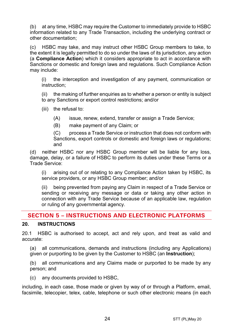(b) at any time, HSBC may require the Customer to immediately provide to HSBC information related to any Trade Transaction, including the underlying contract or other documentation;

(c) HSBC may take, and may instruct other HSBC Group members to take, to the extent it is legally permitted to do so under the laws of its jurisdiction, any action (a **Compliance Action**) which it considers appropriate to act in accordance with Sanctions or domestic and foreign laws and regulations. Such Compliance Action may include:

(i) the interception and investigation of any payment, communication or instruction;

(ii) the making of further enquiries as to whether a person or entity is subject to any Sanctions or export control restrictions; and/or

(iii) the refusal to:

(A) issue, renew, extend, transfer or assign a Trade Service;

(B) make payment of any Claim; or

(C) process a Trade Service or instruction that does not conform with Sanctions, export controls or domestic and foreign laws or regulations; and

(d) neither HSBC nor any HSBC Group member will be liable for any loss, damage, delay, or a failure of HSBC to perform its duties under these Terms or a Trade Service:

(i) arising out of or relating to any Compliance Action taken by HSBC, its service providers, or any HSBC Group member; and/or

(ii) being prevented from paying any Claim in respect of a Trade Service or sending or receiving any message or data or taking any other action in connection with any Trade Service because of an applicable law, regulation or ruling of any governmental agency.

## **SECTION 5 – INSTRUCTIONS AND ELECTRONIC PLATFORMS**

#### <span id="page-23-0"></span>**20. INSTRUCTIONS**

20.1 HSBC is authorised to accept, act and rely upon, and treat as valid and accurate:

(a) all communications, demands and instructions (including any Applications) given or purporting to be given by the Customer to HSBC (an **Instruction**);

(b) all communications and any Claims made or purported to be made by any person; and

(c) any documents provided to HSBC,

including, in each case, those made or given by way of or through a Platform, email, facsimile, telecopier, telex, cable, telephone or such other electronic means (in each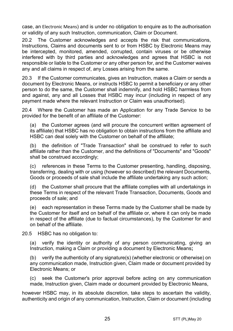case, an Electronic Means) and is under no obligation to enquire as to the authorisation or validity of any such Instruction, communication, Claim or Document.

20.2 The Customer acknowledges and accepts the risk that communications, Instructions, Claims and documents sent to or from HSBC by Electronic Means may be intercepted, monitored, amended, corrupted, contain viruses or be otherwise interfered with by third parties and acknowledges and agrees that HSBC is not responsible or liable to the Customer or any other person for, and the Customer waives any and all claims in respect of, any Losses arising from the same.

20.3 If the Customer communicates, gives an Instruction, makes a Claim or sends a document by Electronic Means, or instructs HSBC to permit a beneficiary or any other person to do the same, the Customer shall indemnify, and hold HSBC harmless from and against, any and all Losses that HSBC may incur (including in respect of any payment made where the relevant Instruction or Claim was unauthorised).

20.4 Where the Customer has made an Application for any Trade Service to be provided for the benefit of an affiliate of the Customer:

(a) the Customer agrees (and will procure the concurrent written agreement of its affiliate) that HSBC has no obligation to obtain instructions from the affiliate and HSBC can deal solely with the Customer on behalf of the affiliate;

(b) the definition of "Trade Transaction" shall be construed to refer to such affiliate rather than the Customer, and the definitions of "Documents" and "Goods" shall be construed accordingly;

(c) references in these Terms to the Customer presenting, handling, disposing, transferring, dealing with or using (however so described) the relevant Documents, Goods or proceeds of sale shall include the affiliate undertaking any such action;

(d) the Customer shall procure that the affiliate complies with all undertakings in these Terms in respect of the relevant Trade Transaction, Documents, Goods and proceeds of sale; and

(e) each representation in these Terms made by the Customer shall be made by the Customer for itself and on behalf of the affiliate or, where it can only be made in respect of the affiliate (due to factual circumstances), by the Customer for and on behalf of the affiliate.

20.5 HSBC has no obligation to:

(a) verify the identity or authority of any person communicating, giving an Instruction, making a Claim or providing a document by Electronic Means**;**

(b) verify the authenticity of any signature(s) (whether electronic or otherwise) on any communication made, Instruction given, Claim made or document provided by Electronic Means; or

(c) seek the Customer's prior approval before acting on any communication made, Instruction given, Claim made or document provided by Electronic Means,

however HSBC may, in its absolute discretion, take steps to ascertain the validity, authenticity and origin of any communication, Instruction, Claim or document (including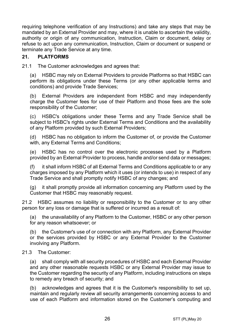requiring telephone verification of any Instructions) and take any steps that may be mandated by an External Provider and may, where it is unable to ascertain the validity, authority or origin of any communication, Instruction, Claim or document, delay or refuse to act upon any communication, Instruction, Claim or document or suspend or terminate any Trade Service at any time.

#### **21. PLATFORMS**

21.1 The Customer acknowledges and agrees that:

(a) HSBC may rely on External Providers to provide Platforms so that HSBC can perform its obligations under these Terms (or any other applicable terms and conditions) and provide Trade Services;

(b) External Providers are independent from HSBC and may independently charge the Customer fees for use of their Platform and those fees are the sole responsibility of the Customer;

(c) HSBC's obligations under these Terms and any Trade Service shall be subject to HSBC's rights under External Terms and Conditions and the availability of any Platform provided by such External Providers;

(d) HSBC has no obligation to inform the Customer of, or provide the Customer with, any External Terms and Conditions;

(e) HSBC has no control over the electronic processes used by a Platform provided by an External Provider to process, handle and/or send data or messages;

(f) it shall inform HSBC of all External Terms and Conditions applicable to or any charges imposed by any Platform which it uses (or intends to use) in respect of any Trade Service and shall promptly notify HSBC of any changes; and

(g) it shall promptly provide all information concerning any Platform used by the Customer that HSBC may reasonably request.

21.2 HSBC assumes no liability or responsibility to the Customer or to any other person for any loss or damage that is suffered or incurred as a result of:

(a) the unavailability of any Platform to the Customer, HSBC or any other person for any reason whatsoever; or

(b) the Customer's use of or connection with any Platform, any External Provider or the services provided by HSBC or any External Provider to the Customer involving any Platform.

#### 21.3 The Customer:

(a) shall comply with all security procedures of HSBC and each External Provider and any other reasonable requests HSBC or any External Provider may issue to the Customer regarding the security of any Platform, including instructions on steps to remedy any breach of security; and

(b) acknowledges and agrees that it is the Customer's responsibility to set up, maintain and regularly review all security arrangements concerning access to and use of each Platform and information stored on the Customer's computing and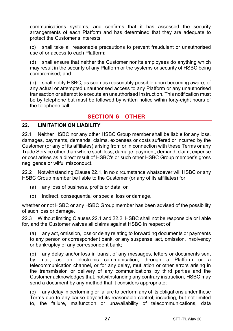communications systems, and confirms that it has assessed the security arrangements of each Platform and has determined that they are adequate to protect the Customer's interests;

(c) shall take all reasonable precautions to prevent fraudulent or unauthorised use of or access to each Platform;

(d) shall ensure that neither the Customer nor its employees do anything which may result in the security of any Platform or the systems or security of HSBC being compromised; and

(e) shall notify HSBC, as soon as reasonably possible upon becoming aware, of any actual or attempted unauthorised access to any Platform or any unauthorised transaction or attempt to execute an unauthorised Instruction. This notification must be by telephone but must be followed by written notice within forty-eight hours of the telephone call.

## **SECTION 6 - OTHER**

#### **22. LIMITATION ON LIABILITY**

<span id="page-26-0"></span>22.1 Neither HSBC nor any other HSBC Group member shall be liable for any loss, damages, payments, demands, claims, expenses or costs suffered or incurred by the Customer (or any of its affiliates) arising from or in connection with these Terms or any Trade Service other than where such loss, damage, payment, demand, claim, expense or cost arises as a direct result of HSBC's or such other HSBC Group member's gross negligence or wilful misconduct.

<span id="page-26-1"></span>22.2 Notwithstanding Clause [22.1,](#page-26-0) in no circumstance whatsoever will HSBC or any HSBC Group member be liable to the Customer (or any of its affiliates) for:

- (a) any loss of business, profits or data; or
- (b) indirect, consequential or special loss or damage,

whether or not HSBC or any HSBC Group member has been advised of the possibility of such loss or damage.

22.3 Without limiting Clauses [22.1](#page-26-0) and [22.2,](#page-26-1) HSBC shall not be responsible or liable for, and the Customer waives all claims against HSBC in respect of:

(a) any act, omission, loss or delay relating to forwarding documents or payments to any person or correspondent bank, or any suspense, act, omission, insolvency or bankruptcy of any correspondent bank;

(b) any delay and/or loss in transit of any messages, letters or documents sent by mail, as an electronic communication, through a Platform or a telecommunication channel, or for any delay, mutilation or other errors arising in the transmission or delivery of any communications by third parties and the Customer acknowledges that, notwithstanding any contrary instruction, HSBC may send a document by any method that it considers appropriate;

(c) any delay in performing or failure to perform any of its obligations under these Terms due to any cause beyond its reasonable control, including, but not limited to, the failure, malfunction or unavailability of telecommunications, data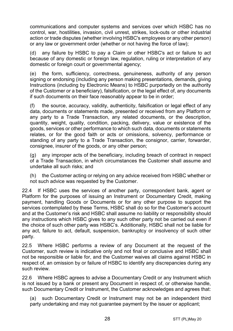communications and computer systems and services over which HSBC has no control, war, hostilities, invasion, civil unrest, strikes, lock-outs or other industrial action or trade disputes (whether involving HSBC's employees or any other person) or any law or government order (whether or not having the force of law);

(d) any failure by HSBC to pay a Claim or other HSBC's act or failure to act because of any domestic or foreign law, regulation, ruling or interpretation of any domestic or foreign court or governmental agency;

(e) the form, sufficiency, correctness, genuineness, authority of any person signing or endorsing (including any person making presentations, demands, giving Instructions (including by Electronic Means) to HSBC purportedly on the authority of the Customer or a beneficiary), falsification, or the legal effect of, any documents if such documents on their face reasonably appear to be in order;

(f) the source, accuracy, validity, authenticity, falsification or legal effect of any data, documents or statements made, presented or received from any Platform or any party to a Trade Transaction, any related documents, or the description, quantity, weight, quality, condition, packing, delivery, value or existence of the goods, services or other performance to which such data, documents or statements relates, or for the good faith or acts or omissions, solvency, performance or standing of any party to a Trade Transaction, the consignor, carrier, forwarder, consignee, insurer of the goods, or any other person;

(g) any improper acts of the beneficiary, including breach of contract in respect of a Trade Transaction, in which circumstances the Customer shall assume and undertake all such risks; and

(h) the Customer acting or relying on any advice received from HSBC whether or not such advice was requested by the Customer.

22.4 If HSBC uses the services of another party, correspondent bank, agent or Platform for the purposes of issuing an Instrument or Documentary Credit, making payment, handling Goods or Documents or for any other purpose to support the services contemplated by these Terms, HSBC shall do so for the Customer's account and at the Customer's risk and HSBC shall assume no liability or responsibility should any instructions which HSBC gives to any such other party not be carried out even if the choice of such other party was HSBC's. Additionally, HSBC shall not be liable for any act, failure to act, default, suspension, bankruptcy or insolvency of such other party.

22.5 Where HSBC performs a review of any Document at the request of the Customer, such review is indicative only and not final or conclusive and HSBC shall not be responsible or liable for, and the Customer waives all claims against HSBC in respect of, an omission by or failure of HSBC to identify any discrepancies during any such review.

22.6 Where HSBC agrees to advise a Documentary Credit or any Instrument which is not issued by a bank or present any Document in respect of, or otherwise handle, such Documentary Credit or Instrument, the Customer acknowledges and agrees that:

(a) such Documentary Credit or Instrument may not be an independent third party undertaking and may not guarantee payment by the issuer or applicant;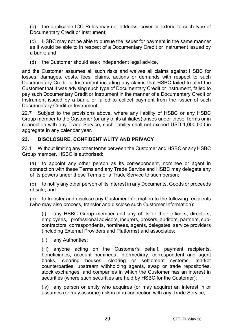(b) the applicable ICC Rules may not address, cover or extend to such type of Documentary Credit or Instrument:

HSBC may not be able to pursue the issuer for payment in the same manner as it would be able to in respect of a Documentary Credit or Instrument issued by a bank; and

(d) the Customer should seek independent legal advice,

and the Customer assumes all such risks and waives all claims against HSBC for losses, damages, costs, fees, claims, actions or demands with respect to such Documentary Credit or Instrument including any claims that HSBC failed to alert the Customer that it was advising such type of Documentary Credit or Instrument, failed to pay such Documentary Credit or Instrument in the manner of a Documentary Credit or Instrument issued by a bank, or failed to collect payment from the issuer of such Documentary Credit or Instrument.

22.7 Subject to the provisions above, where any liability of HSBC or any HSBC Group member to the Customer (or any of its affiliates) arises under these Terms or in connection with any Trade Service, such liability shall not exceed USD 1,000,000 in aggregate in any calendar year.

#### <span id="page-28-1"></span>**23. DISCLOSURE, CONFIDENTIALITY AND PRIVACY**

23.1 Without limiting any other terms between the Customer and HSBC or any HSBC Group member, HSBC is authorised:

<span id="page-28-0"></span>(a) to appoint any other person as its correspondent, nominee or agent in connection with these Terms and any Trade Service and HSBC may delegate any of its powers under these Terms or a Trade Service to such person;

(b) to notify any other person of its interest in any Documents, Goods or proceeds of sale; and

(c) to transfer and disclose any Customer Information to the following recipients (who may also process, transfer and disclose such Customer Information):

(i) any HSBC Group member and any of its or their officers, directors, employees, professional advisors, insurers, brokers, auditors, partners, subcontractors, correspondents, nominees, agents, delegates, service providers (including External Providers and Platforms) and associates;

(ii) any Authorities;

(iii) anyone acting on the Customer's behalf, payment recipients, beneficiaries, account nominees, intermediary, correspondent and agent banks, clearing houses, clearing or settlement systems, market counterparties, upstream withholding agents, swap or trade repositories, stock exchanges, and companies in which the Customer has an interest in securities (where such securities are held by HSBC for the Customer);

(iv) any person or entity who acquires (or may acquire) an interest in or assumes (or may assume) risk in or in connection with any Trade Service;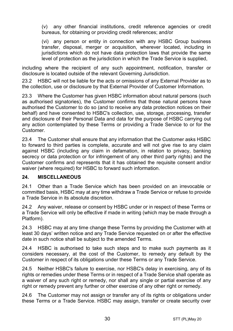(v) any other financial institutions, credit reference agencies or credit bureaus, for obtaining or providing credit references; and/or

(vi) any person or entity in connection with any HSBC Group business transfer, disposal, merger or acquisition, wherever located, including in jurisdictions which do not have data protection laws that provide the same level of protection as the jurisdiction in which the Trade Service is supplied,

including where the recipient of any such appointment, notification, transfer or disclosure is located outside of the relevant Governing Jurisdiction.

23.2 HSBC will not be liable for the acts or omissions of any External Provider as to the collection, use or disclosure by that External Provider of Customer Information.

23.3 Where the Customer has given HSBC information about natural persons (such as authorised signatories), the Customer confirms that those natural persons have authorised the Customer to do so (and to receive any data protection notices on their behalf) and have consented to HSBC's collection, use, storage, processing, transfer and disclosure of their Personal Data and data for the purpose of HSBC carrying out any action contemplated by these Terms or providing a Trade Service to or for the Customer.

23.4 The Customer shall ensure that any information that the Customer asks HSBC to forward to third parties is complete, accurate and will not give rise to any claim against HSBC (including any claim in defamation, in relation to privacy, banking secrecy or data protection or for infringement of any other third party rights) and the Customer confirms and represents that it has obtained the requisite consent and/or waiver (where required) for HSBC to forward such information.

#### **24. MISCELLANEOUS**

24.1 Other than a Trade Service which has been provided on an irrevocable or committed basis, HSBC may at any time withdraw a Trade Service or refuse to provide a Trade Service in its absolute discretion.

24.2 Any waiver, release or consent by HSBC under or in respect of these Terms or a Trade Service will only be effective if made in writing (which may be made through a Platform).

24.3 HSBC may at any time change these Terms by providing the Customer with at least 30 days' written notice and any Trade Service requested on or after the effective date in such notice shall be subject to the amended Terms.

24.4 HSBC is authorised to take such steps and to make such payments as it considers necessary, at the cost of the Customer, to remedy any default by the Customer in respect of its obligations under these Terms or any Trade Service.

24.5 Neither HSBC's failure to exercise, nor HSBC's delay in exercising, any of its rights or remedies under these Terms or in respect of a Trade Service shall operate as a waiver of any such right or remedy, nor shall any single or partial exercise of any right or remedy prevent any further or other exercise of any other right or remedy.

24.6 The Customer may not assign or transfer any of its rights or obligations under these Terms or a Trade Service. HSBC may assign, transfer or create security over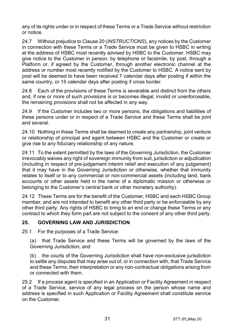any of its rights under or in respect of these Terms or a Trade Service without restriction or notice.

24.7 Without prejudice to Claus[e 20](#page-23-0) (*[INSTRUCTIONS](#page-23-0)*), any notices by the Customer in connection with these Terms or a Trade Service must be given to HSBC in writing at the address of HSBC most recently advised by HSBC to the Customer. HSBC may give notice to the Customer in person, by telephone or facsimile, by post, through a Platform or, if agreed by the Customer, through another electronic channel at the address or number most recently notified by the Customer to HSBC. A notice sent by post will be deemed to have been received 7 calendar days after posting if within the same country, or 15 calendar days after posting if cross border.

24.8 Each of the provisions of these Terms is severable and distinct from the others and, if one or more of such provisions is or becomes illegal, invalid or unenforceable, the remaining provisions shall not be affected in any way.

24.9 If the Customer includes two or more persons, the obligations and liabilities of these persons under or in respect of a Trade Service and these Terms shall be joint and several.

24.10 Nothing in these Terms shall be deemed to create any partnership, joint venture or relationship of principal and agent between HSBC and the Customer or create or give rise to any fiduciary relationship of any nature.

24.11 To the extent permitted by the laws of the Governing Jurisdiction, the Customer irrevocably waives any right of sovereign immunity from suit, jurisdiction or adjudication (including in respect of pre-judgement interim relief and execution of any judgement) that it may have in the Governing Jurisdiction or otherwise, whether that immunity relates to itself or to any commercial or non-commercial assets (including land, bank accounts or other assets held in the name of a diplomatic mission or otherwise or belonging to the Customer's central bank or other monetary authority).

24.12 These Terms are for the benefit of the Customer, HSBC and each HSBC Group member, and are not intended to benefit any other third party or be enforceable by any other third party. Any rights of HSBC to bring to an end or change these Terms or any contract to which they form part are not subject to the consent of any other third party.

#### **25. GOVERNING LAW AND JURISDICTION**

25.1 For the purposes of a Trade Service:

(a) that Trade Service and these Terms will be governed by the laws of the Governing Jurisdiction; and

(b) the courts of the Governing Jurisdiction shall have non-exclusive jurisdiction to settle any disputes that may arise out of, or in connection with, that Trade Service and these Terms, their interpretation or any non-contractual obligations arising from or connected with them.

25.2 If a process agent is specified in an Application or Facility Agreement in respect of a Trade Service, service of any legal process on the person whose name and address is specified in such Application or Facility Agreement shall constitute service on the Customer.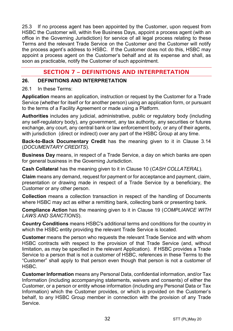25.3 If no process agent has been appointed by the Customer, upon request from HSBC the Customer will, within five Business Days, appoint a process agent (with an office in the Governing Jurisdiction) for service of all legal process relating to these Terms and the relevant Trade Service on the Customer and the Customer will notify the process agent's address to HSBC. If the Customer does not do this, HSBC may appoint a process agent on the Customer's behalf and at its expense and shall, as soon as practicable, notify the Customer of such appointment.

## **SECTION 7 – DEFINITIONS AND INTERPRETATION**

#### **26. DEFINITIONS AND INTERPRETATION**

#### 26.1 In these Terms:

**Application** means an application, instruction or request by the Customer for a Trade Service (whether for itself or for another person) using an application form, or pursuant to the terms of a Facility Agreement or made using a Platform.

**Authorities** includes any judicial, administrative, public or regulatory body (including any self-regulatory body), any government, any tax authority, any securities or futures exchange, any court, any central bank or law enforcement body, or any of their agents, with jurisdiction (direct or indirect) over any part of the HSBC Group at any time.

**Back-to-Back Documentary Credit** has the meaning given to it in Clause [3.14](#page-5-0) (*[DOCUMENTARY CREDITS](#page-3-0)*).

**Business Day** means, in respect of a Trade Service, a day on which banks are open for general business in the Governing Jurisdiction.

**Cash Collateral** has the meaning given to it in Clause [10](#page-13-2) (*[CASH COLLATERAL](#page-13-2)*).

**Claim** means any demand, request for payment or for acceptance and payment, claim, presentation or drawing made in respect of a Trade Service by a beneficiary, the Customer or any other person.

**Collection** means a collection transaction in respect of the handling of Documents where HSBC may act as either a remitting bank, collecting bank or presenting bank.

**Compliance Action** has the meaning given to it in Clause [19](#page-22-0) (*[COMPLIANCE WITH](#page-22-0)  [LAWS AND SANCTIONS](#page-22-0)*).

**Country Conditions** means HSBC's additional terms and conditions for the country in which the HSBC entity providing the relevant Trade Service is located.

**Customer** means the person who requests the relevant Trade Service and with whom HSBC contracts with respect to the provision of that Trade Service (and, without limitation, as may be specified in the relevant Application). If HSBC provides a Trade Service to a person that is not a customer of HSBC, references in these Terms to the "Customer" shall apply to that person even though that person is not a customer of HSBC.

**Customer Information** means any Personal Data, confidential information, and/or Tax Information (including accompanying statements, waivers and consents) of either the Customer, or a person or entity whose information (including any Personal Data or Tax Information) which the Customer provides, or which is provided on the Customer's behalf, to any HSBC Group member in connection with the provision of any Trade Service.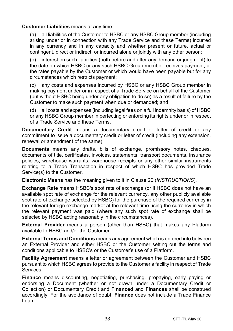#### **Customer Liabilities** means at any time:

(a) all liabilities of the Customer to HSBC or any HSBC Group member (including arising under or in connection with any Trade Service and these Terms) incurred in any currency and in any capacity and whether present or future, actual or contingent, direct or indirect, or incurred alone or jointly with any other person;

(b) interest on such liabilities (both before and after any demand or judgment) to the date on which HSBC or any such HSBC Group member receives payment, at the rates payable by the Customer or which would have been payable but for any circumstances which restricts payment;

(c) any costs and expenses incurred by HSBC or any HSBC Group member in making payment under or in respect of a Trade Service on behalf of the Customer (but without HSBC being under any obligation to do so) as a result of failure by the Customer to make such payment when due or demanded; and

(d) all costs and expenses (including legal fees on a full indemnity basis) of HSBC or any HSBC Group member in perfecting or enforcing its rights under or in respect of a Trade Service and these Terms.

**Documentary Credit** means a documentary credit or letter of credit or any commitment to issue a documentary credit or letter of credit (including any extension, renewal or amendment of the same).

**Documents** means any drafts, bills of exchange, promissory notes, cheques, documents of title, certificates, invoices, statements, transport documents, insurance policies, warehouse warrants, warehouse receipts or any other similar instruments relating to a Trade Transaction in respect of which HSBC has provided Trade Service(s) to the Customer.

**Electronic Means** has the meaning given to it in Clause [20](#page-23-0) (*[INSTRUCTIONS](#page-23-0)*).

**Exchange Rate** means HSBC's spot rate of exchange (or if HSBC does not have an available spot rate of exchange for the relevant currency, any other publicly available spot rate of exchange selected by HSBC) for the purchase of the required currency in the relevant foreign exchange market at the relevant time using the currency in which the relevant payment was paid (where any such spot rate of exchange shall be selected by HSBC acting reasonably in the circumstances).

**External Provider** means a person (other than HSBC) that makes any Platform available to HSBC and/or the Customer.

**External Terms and Conditions** means any agreement which is entered into between an External Provider and either HSBC or the Customer setting out the terms and conditions applicable to HSBC's or the Customer's use of a Platform.

**Facility Agreement** means a letter or agreement between the Customer and HSBC pursuant to which HSBC agrees to provide to the Customer a facility in respect of Trade Services.

**Finance** means discounting, negotiating, purchasing, prepaying, early paying or endorsing a Document (whether or not drawn under a Documentary Credit or Collection) or Documentary Credit and **Financed** and **Finances** shall be construed accordingly. For the avoidance of doubt, **Finance** does not include a Trade Finance Loan.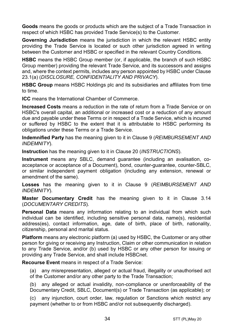**Goods** means the goods or products which are the subject of a Trade Transaction in respect of which HSBC has provided Trade Service(s) to the Customer.

**Governing Jurisdiction** means the jurisdiction in which the relevant HSBC entity providing the Trade Service is located or such other jurisdiction agreed in writing between the Customer and HSBC or specified in the relevant Country Conditions.

**HSBC** means the HSBC Group member (or, if applicable, the branch of such HSBC Group member) providing the relevant Trade Service, and its successors and assigns and, where the context permits, includes any person appointed by HSBC under Clause [23.1\(a\)](#page-28-0) (*[DISCLOSURE, CONFIDENTIALITY AND PRIVACY](#page-28-1)*).

**HSBC Group** means HSBC Holdings plc and its subsidiaries and affiliates from time to time.

**ICC** means the International Chamber of Commerce.

**Increased Costs** means a reduction in the rate of return from a Trade Service or on HSBC's overall capital, an additional or increased cost or a reduction of any amount due and payable under these Terms or in respect of a Trade Service, which is incurred or suffered by HSBC to the extent that it is attributable to HSBC performing its obligations under these Terms or a Trade Service.

**Indemnified Party** has the meaning given to it in Claus[e 9](#page-13-0) (*[REIMBURSEMENT AND](#page-13-0)  [INDEMNITY](#page-13-0)*).

**Instruction** has the meaning given to it in Clause [20](#page-23-0) (*[INSTRUCTIONS](#page-23-0)*).

**Instrument** means any SBLC, demand guarantee (including an avalisation, coacceptance or acceptance of a Document), bond, counter-guarantee, counter-SBLC, or similar independent payment obligation (including any extension, renewal or amendment of the same).

**Losses** has the meaning given to it in Clause [9](#page-13-0) (*[REIMBURSEMENT AND](#page-13-0)  [INDEMNITY](#page-13-0)*).

**Master Documentary Credit** has the meaning given to it in Clause [3.14](#page-5-0) (*[DOCUMENTARY CREDITS](#page-3-0)*).

**Personal Data** means any information relating to an individual from which such individual can be identified, including sensitive personal data, name(s), residential address(es), contact information, age, date of birth, place of birth, nationality, citizenship, personal and marital status.

**Platform** means any electronic platform (a) used by HSBC, the Customer or any other person for giving or receiving any Instruction, Claim or other communication in relation to any Trade Service, and/or (b) used by HSBC or any other person for issuing or providing any Trade Service, and shall include HSBCnet.

**Recourse Event** means in respect of a Trade Service:

(a) any misrepresentation, alleged or actual fraud, illegality or unauthorised act of the Customer and/or any other party to the Trade Transaction;

(b) any alleged or actual invalidity, non-compliance or unenforceability of the Documentary Credit, SBLC, Document(s) or Trade Transaction (as applicable); or

(c) any injunction, court order, law, regulation or Sanctions which restrict any payment (whether to or from HSBC and/or not subsequently discharged).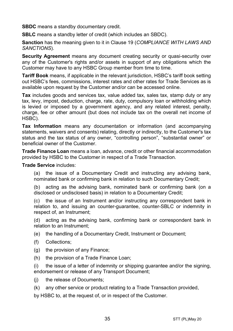**SBDC** means a standby documentary credit.

**SBLC** means a standby letter of credit (which includes an SBDC).

**Sanction** has the meaning given to it in Clause [19](#page-22-0) (*[COMPLIANCE WITH LAWS AND](#page-22-0)  [SANCTIONS](#page-22-0)*).

**Security Agreement** means any document creating security or quasi-security over any of the Customer's rights and/or assets in support of any obligations which the Customer may have to any HSBC Group member from time to time.

**Tariff Book** means, if applicable in the relevant jurisdiction, HSBC's tariff book setting out HSBC's fees, commissions, interest rates and other rates for Trade Services as is available upon request by the Customer and/or can be accessed online.

**Tax** includes goods and services tax, value added tax, sales tax, stamp duty or any tax, levy, impost, deduction, charge, rate, duty, compulsory loan or withholding which is levied or imposed by a government agency, and any related interest, penalty, charge, fee or other amount (but does not include tax on the overall net income of HSBC).

**Tax Information** means any documentation or information (and accompanying statements, waivers and consents) relating, directly or indirectly, to the Customer's tax status and the tax status of any owner, "controlling person", "substantial owner" or beneficial owner of the Customer.

**Trade Finance Loan** means a loan, advance, credit or other financial accommodation provided by HSBC to the Customer in respect of a Trade Transaction.

**Trade Service** includes:

(a) the issue of a Documentary Credit and instructing any advising bank, nominated bank or confirming bank in relation to such Documentary Credit;

(b) acting as the advising bank, nominated bank or confirming bank (on a disclosed or undisclosed basis) in relation to a Documentary Credit;

(c) the issue of an Instrument and/or instructing any correspondent bank in relation to, and issuing an counter-guarantee, counter-SBLC or indemnity in respect of, an Instrument;

(d) acting as the advising bank, confirming bank or correspondent bank in relation to an Instrument;

(e) the handling of a Documentary Credit, Instrument or Document;

- (f) Collections;
- (g) the provision of any Finance;
- (h) the provision of a Trade Finance Loan;

(i) the issue of a letter of indemnity or shipping guarantee and/or the signing, endorsement or release of any Transport Document;

- (i) the release of Documents:
- (k) any other service or product relating to a Trade Transaction provided,

by HSBC to, at the request of, or in respect of the Customer.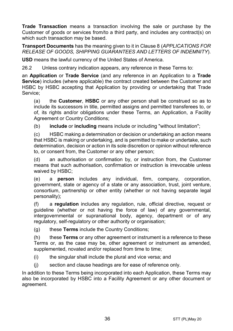**Trade Transaction** means a transaction involving the sale or purchase by the Customer of goods or services from/to a third party, and includes any contract(s) on which such transaction may be based.

**Transport Documents** has the meaning given to it in Clause [8](#page-12-0) (*[APPLICATIONS FOR](#page-12-0)  [RELEASE OF GOODS, SHIPPING GUARANTEES AND](#page-12-0) LETTERS OF INDEMNITY*).

**USD** means the lawful currency of the United States of America.

26.2 Unless contrary indication appears, any reference in these Terms to:

an **Application** or **Trade Service** (and any reference in an Application to a **Trade Service**) includes (where applicable) the contract created between the Customer and HSBC by HSBC accepting that Application by providing or undertaking that Trade Service;

(a) the **Customer**, **HSBC** or any other person shall be construed so as to include its successors in title, permitted assigns and permitted transferees to, or of, its rights and/or obligations under these Terms, an Application, a Facility Agreement or Country Conditions;

(b) **include** or **including** means include or including "without limitation";

(c) HSBC making a determination or decision or undertaking an action means that HSBC is making or undertaking, and is permitted to make or undertake, such determination, decision or action in its sole discretion or opinion without reference to, or consent from, the Customer or any other person;

(d) an authorisation or confirmation by, or instruction from, the Customer means that such authorisation, confirmation or instruction is irrevocable unless waived by HSBC;

(e) a **person** includes any individual, firm, company, corporation, government, state or agency of a state or any association, trust, joint venture, consortium, partnership or other entity (whether or not having separate legal personality);

(f) a **regulation** includes any regulation, rule, official directive, request or guideline (whether or not having the force of law) of any governmental, intergovernmental or supranational body, agency, department or of any regulatory, self-regulatory or other authority or organisation;

(g) these **Terms** include the Country Conditions;

(h) these **Terms** or any other agreement or instrument is a reference to these Terms or, as the case may be, other agreement or instrument as amended, supplemented, novated and/or replaced from time to time;

- (i) the singular shall include the plural and vice versa; and
- (j) section and clause headings are for ease of reference only.

In addition to these Terms being incorporated into each Application, these Terms may also be incorporated by HSBC into a Facility Agreement or any other document or agreement.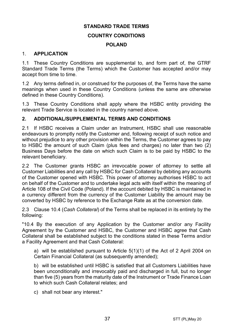## **STANDARD TRADE TERMS COUNTRY CONDITIONS**

#### **POLAND**

#### 1. **APPLICATION**

1.1 These Country Conditions are supplemental to, and form part of, the GTRF Standard Trade Terms (the Terms) which the Customer has accepted and/or may accept from time to time.

1.2 Any terms defined in, or construed for the purposes of, the Terms have the same meanings when used in these Country Conditions (unless the same are otherwise defined in these Country Conditions).

1.3 These Country Conditions shall apply where the HSBC entity providing the relevant Trade Service is located in the country named above.

#### **2. ADDITIONAL/SUPPLEMENTAL TERMS AND CONDITIONS**

2.1 If HSBC receives a Claim under an Instrument, HSBC shall use reasonable endeavours to promptly notify the Customer and, following receipt of such notice and without prejudice to any other provision within the Terms, the Customer agrees to pay to HSBC the amount of such Claim (plus fees and charges) no later than two (2) Business Days before the date on which such Claim is to be paid by HSBC to the relevant beneficiary.

2.2 The Customer grants HSBC an irrevocable power of attorney to settle all Customer Liabilities and any call by HSBC for Cash Collateral by debiting any accounts of the Customer opened with HSBC. This power of attorney authorises HSBC to act on behalf of the Customer and to undertake legal acts with itself within the meaning of Article 108 of the Civil Code (Poland). If the account debited by HSBC is maintained in a currency different from the currency of the Customer Liability the amount may be converted by HSBC by reference to the Exchange Rate as at the conversion date.

2.3 Clause 10.4 (*Cash Collateral*) of the Terms shall be replaced in its entirety by the following:

"10.4 By the execution of any Application by the Customer and/or any Facility Agreement by the Customer and HSBC, the Customer and HSBC agree that Cash Collateral shall be established subject to the conditions stated in these Terms and/or a Facility Agreement and that Cash Collateral:

a) will be established pursuant to Article 5(1)(1) of the Act of 2 April 2004 on Certain Financial Collateral (as subsequently amended);

b) will be established until HSBC is satisfied that all Customers Liabilities have been unconditionally and irrevocably paid and discharged in full, but no longer than five (5) years from the maturity date of the Instrument or Trade Finance Loan to which such Cash Collateral relates; and

c) shall not bear any interest."